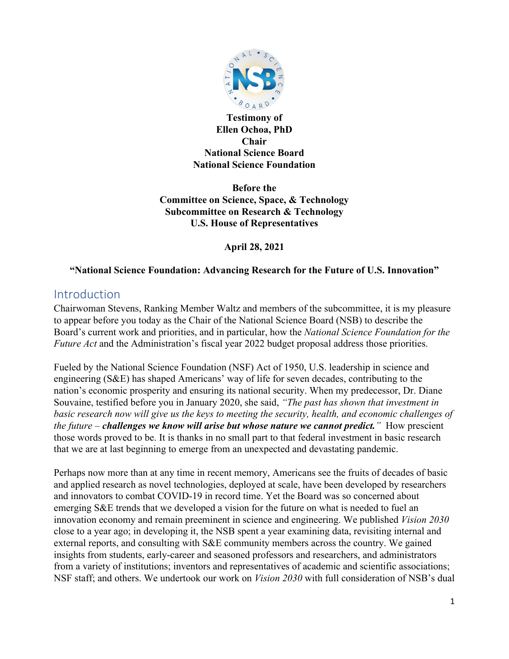

**Testimony of Ellen Ochoa, PhD Chair National Science Board National Science Foundation**

**Before the Committee on Science, Space, & Technology Subcommittee on Research & Technology U.S. House of Representatives**

**April 28, 2021**

#### **"National Science Foundation: Advancing Research for the Future of U.S. Innovation"**

# Introduction

Chairwoman Stevens, Ranking Member Waltz and members of the subcommittee, it is my pleasure to appear before you today as the Chair of the National Science Board (NSB) to describe the Board's current work and priorities, and in particular, how the *National Science Foundation for the Future Act* and the Administration's fiscal year 2022 budget proposal address those priorities.

Fueled by the National Science Foundation (NSF) Act of 1950, U.S. leadership in science and engineering (S&E) has shaped Americans' way of life for seven decades, contributing to the nation's economic prosperity and ensuring its national security. When my predecessor, Dr. Diane Souvaine, testified before you in January 2020, she said, *"The past has shown that investment in basic research now will give us the keys to meeting the security, health, and economic challenges of the future – challenges we know will arise but whose nature we cannot predict."* How prescient those words proved to be. It is thanks in no small part to that federal investment in basic research that we are at last beginning to emerge from an unexpected and devastating pandemic.

Perhaps now more than at any time in recent memory, Americans see the fruits of decades of basic and applied research as novel technologies, deployed at scale, have been developed by researchers and innovators to combat COVID-19 in record time. Yet the Board was so concerned about emerging S&E trends that we developed a vision for the future on what is needed to fuel an innovation economy and remain preeminent in science and engineering. We published *Vision 2030* close to a year ago; in developing it, the NSB spent a year examining data, revisiting internal and external reports, and consulting with S&E community members across the country. We gained insights from students, early-career and seasoned professors and researchers, and administrators from a variety of institutions; inventors and representatives of academic and scientific associations; NSF staff; and others. We undertook our work on *Vision 2030* with full consideration of NSB's dual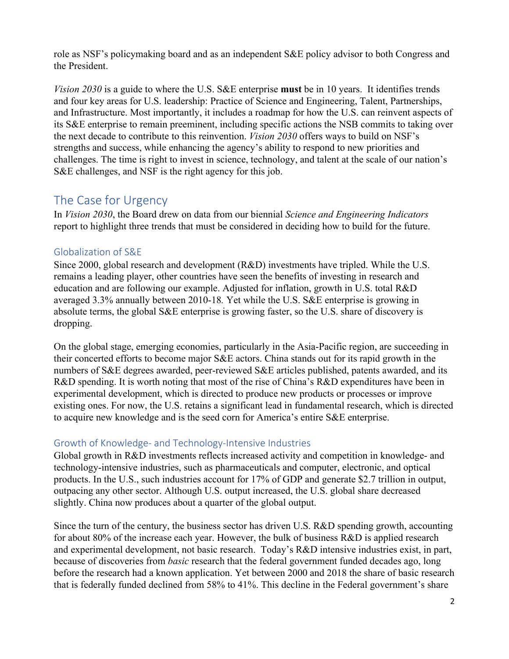role as NSF's policymaking board and as an independent S&E policy advisor to both Congress and the President.

*Vision 2030* is a guide to where the U.S. S&E enterprise **must** be in 10 years. It identifies trends and four key areas for U.S. leadership: Practice of Science and Engineering, Talent, Partnerships, and Infrastructure. Most importantly, it includes a roadmap for how the U.S. can reinvent aspects of its S&E enterprise to remain preeminent, including specific actions the NSB commits to taking over the next decade to contribute to this reinvention. *Vision 2030* offers ways to build on NSF's strengths and success, while enhancing the agency's ability to respond to new priorities and challenges. The time is right to invest in science, technology, and talent at the scale of our nation's S&E challenges, and NSF is the right agency for this job.

# The Case for Urgency

In *Vision 2030*, the Board drew on data from our biennial *Science and Engineering Indicators*  report to highlight three trends that must be considered in deciding how to build for the future.

### Globalization of S&E

Since 2000, global research and development (R&D) investments have tripled. While the U.S. remains a leading player, other countries have seen the benefits of investing in research and education and are following our example. Adjusted for inflation, growth in U.S. total R&D averaged 3.3% annually between 2010-18*.* Yet while the U.S. S&E enterprise is growing in absolute terms, the global S&E enterprise is growing faster, so the U.S. share of discovery is dropping.

On the global stage, emerging economies, particularly in the Asia-Pacific region, are succeeding in their concerted efforts to become major S&E actors. China stands out for its rapid growth in the numbers of S&E degrees awarded, peer-reviewed S&E articles published, patents awarded, and its R&D spending. It is worth noting that most of the rise of China's R&D expenditures have been in experimental development, which is directed to produce new products or processes or improve existing ones. For now, the U.S. retains a significant lead in fundamental research, which is directed to acquire new knowledge and is the seed corn for America's entire S&E enterprise.

# Growth of Knowledge- and Technology-Intensive Industries

Global growth in R&D investments reflects increased activity and competition in knowledge- and technology-intensive industries, such as pharmaceuticals and computer, electronic, and optical products. In the U.S., such industries account for 17% of GDP and generate \$2.7 trillion in output, outpacing any other sector. Although U.S. output increased, the U.S. global share decreased slightly. China now produces about a quarter of the global output.

Since the turn of the century, the business sector has driven U.S. R&D spending growth, accounting for about 80% of the increase each year. However, the bulk of business R&D is applied research and experimental development, not basic research. Today's R&D intensive industries exist, in part, because of discoveries from *basic* research that the federal government funded decades ago, long before the research had a known application. Yet between 2000 and 2018 the share of basic research that is federally funded declined from 58% to 41%. This decline in the Federal government's share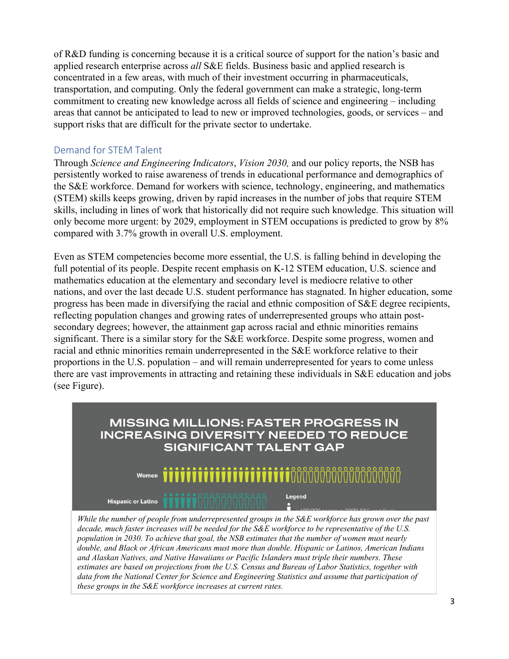of R&D funding is concerning because it is a critical source of support for the nation's basic and applied research enterprise across *all* S&E fields. Business basic and applied research is concentrated in a few areas, with much of their investment occurring in pharmaceuticals, transportation, and computing. Only the federal government can make a strategic, long-term commitment to creating new knowledge across all fields of science and engineering – including areas that cannot be anticipated to lead to new or improved technologies, goods, or services – and support risks that are difficult for the private sector to undertake.

### Demand for STEM Talent

Through *Science and Engineering Indicators*, *Vision 2030,* and our policy reports, the NSB has persistently worked to raise awareness of trends in educational performance and demographics of the S&E workforce. Demand for workers with science, technology, engineering, and mathematics (STEM) skills keeps growing, driven by rapid increases in the number of jobs that require STEM skills, including in lines of work that historically did not require such knowledge. This situation will only become more urgent: by 2029, employment in STEM occupations is predicted to grow by 8% compared with 3.7% growth in overall U.S. employment.

Even as STEM competencies become more essential, the U.S. is falling behind in developing the full potential of its people. Despite recent emphasis on K-12 STEM education, U.S. science and mathematics education at the elementary and secondary level is mediocre relative to other nations, and over the last decade U.S. student performance has stagnated. In higher education, some progress has been made in diversifying the racial and ethnic composition of S&E degree recipients, reflecting population changes and growing rates of underrepresented groups who attain postsecondary degrees; however, the attainment gap across racial and ethnic minorities remains significant. There is a similar story for the S&E workforce. Despite some progress, women and racial and ethnic minorities remain underrepresented in the S&E workforce relative to their proportions in the U.S. population – and will remain underrepresented for years to come unless there are vast improvements in attracting and retaining these individuals in S&E education and jobs (see Figure).



*While the number of people from underrepresented groups in the S&E workforce has grown over the past decade, much faster increases will be needed for the S&E workforce to be representative of the U.S. population in 2030. To achieve that goal, the NSB estimates that the number of women must nearly double, and Black or African Americans must more than double. Hispanic or Latinos, American Indians and Alaskan Natives, and Native Hawaiians or Pacific Islanders must triple their numbers. These estimates are based on projections from the U.S. Census and Bureau of Labor Statistics, together with data from the National Center for Science and Engineering Statistics and assume that participation of these groups in the S&E workforce increases at current rates.*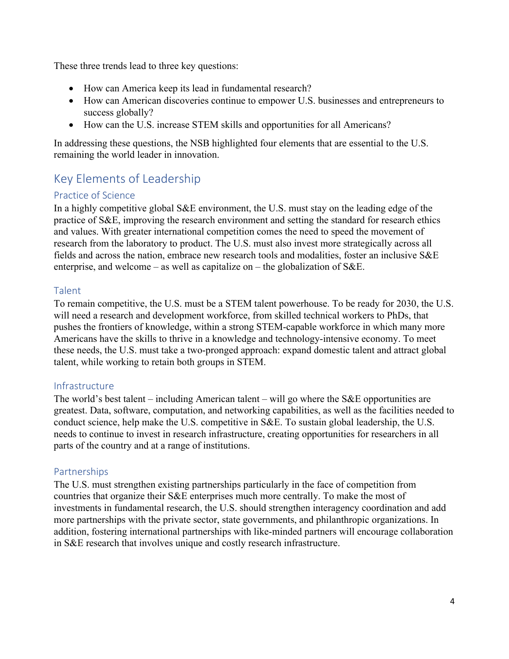These three trends lead to three key questions:

- How can America keep its lead in fundamental research?
- How can American discoveries continue to empower U.S. businesses and entrepreneurs to success globally?
- How can the U.S. increase STEM skills and opportunities for all Americans?

In addressing these questions, the NSB highlighted four elements that are essential to the U.S. remaining the world leader in innovation.

# Key Elements of Leadership

### Practice of Science

In a highly competitive global S&E environment, the U.S. must stay on the leading edge of the practice of S&E, improving the research environment and setting the standard for research ethics and values. With greater international competition comes the need to speed the movement of research from the laboratory to product. The U.S. must also invest more strategically across all fields and across the nation, embrace new research tools and modalities, foster an inclusive S&E enterprise, and welcome – as well as capitalize on – the globalization of  $S\&E$ .

#### Talent

To remain competitive, the U.S. must be a STEM talent powerhouse. To be ready for 2030, the U.S. will need a research and development workforce, from skilled technical workers to PhDs, that pushes the frontiers of knowledge, within a strong STEM-capable workforce in which many more Americans have the skills to thrive in a knowledge and technology-intensive economy. To meet these needs, the U.S. must take a two-pronged approach: expand domestic talent and attract global talent, while working to retain both groups in STEM.

# Infrastructure

The world's best talent – including American talent – will go where the S&E opportunities are greatest. Data, software, computation, and networking capabilities, as well as the facilities needed to conduct science, help make the U.S. competitive in S&E. To sustain global leadership, the U.S. needs to continue to invest in research infrastructure, creating opportunities for researchers in all parts of the country and at a range of institutions.

# Partnerships

The U.S. must strengthen existing partnerships particularly in the face of competition from countries that organize their S&E enterprises much more centrally. To make the most of investments in fundamental research, the U.S. should strengthen interagency coordination and add more partnerships with the private sector, state governments, and philanthropic organizations. In addition, fostering international partnerships with like-minded partners will encourage collaboration in S&E research that involves unique and costly research infrastructure.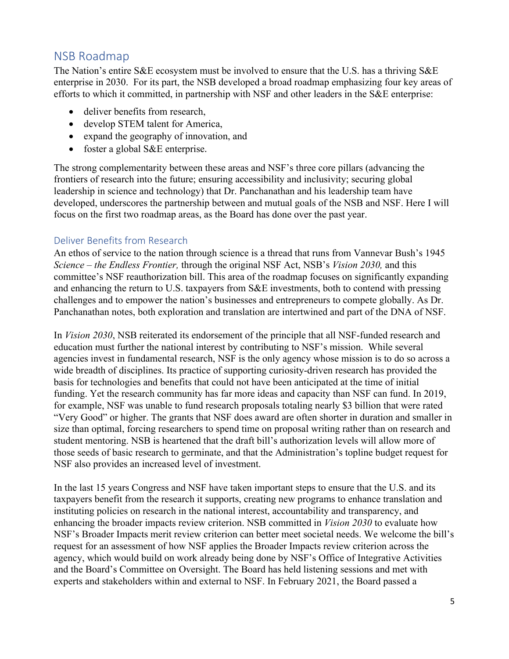# NSB Roadmap

The Nation's entire S&E ecosystem must be involved to ensure that the U.S. has a thriving S&E enterprise in 2030. For its part, the NSB developed a broad roadmap emphasizing four key areas of efforts to which it committed, in partnership with NSF and other leaders in the S&E enterprise:

- deliver benefits from research,
- develop STEM talent for America,
- expand the geography of innovation, and
- foster a global S&E enterprise.

The strong complementarity between these areas and NSF's three core pillars (advancing the frontiers of research into the future; ensuring accessibility and inclusivity; securing global leadership in science and technology) that Dr. Panchanathan and his leadership team have developed, underscores the partnership between and mutual goals of the NSB and NSF. Here I will focus on the first two roadmap areas, as the Board has done over the past year.

### Deliver Benefits from Research

An ethos of service to the nation through science is a thread that runs from Vannevar Bush's 1945 *Science – the Endless Frontier,* through the original NSF Act, NSB's *Vision 2030,* and this committee's NSF reauthorization bill. This area of the roadmap focuses on significantly expanding and enhancing the return to U.S. taxpayers from S&E investments, both to contend with pressing challenges and to empower the nation's businesses and entrepreneurs to compete globally. As Dr. Panchanathan notes, both exploration and translation are intertwined and part of the DNA of NSF.

In *Vision 2030*, NSB reiterated its endorsement of the principle that all NSF-funded research and education must further the national interest by contributing to NSF's mission. While several agencies invest in fundamental research, NSF is the only agency whose mission is to do so across a wide breadth of disciplines. Its practice of supporting curiosity-driven research has provided the basis for technologies and benefits that could not have been anticipated at the time of initial funding. Yet the research community has far more ideas and capacity than NSF can fund. In 2019, for example, NSF was unable to fund research proposals totaling nearly \$3 billion that were rated "Very Good" or higher. The grants that NSF does award are often shorter in duration and smaller in size than optimal, forcing researchers to spend time on proposal writing rather than on research and student mentoring. NSB is heartened that the draft bill's authorization levels will allow more of those seeds of basic research to germinate, and that the Administration's topline budget request for NSF also provides an increased level of investment.

In the last 15 years Congress and NSF have taken important steps to ensure that the U.S. and its taxpayers benefit from the research it supports, creating new programs to enhance translation and instituting policies on research in the national interest, accountability and transparency, and enhancing the broader impacts review criterion. NSB committed in *Vision 2030* to evaluate how NSF's Broader Impacts merit review criterion can better meet societal needs. We welcome the bill's request for an assessment of how NSF applies the Broader Impacts review criterion across the agency, which would build on work already being done by NSF's Office of Integrative Activities and the Board's Committee on Oversight. The Board has held listening sessions and met with experts and stakeholders within and external to NSF. In February 2021, the Board passed a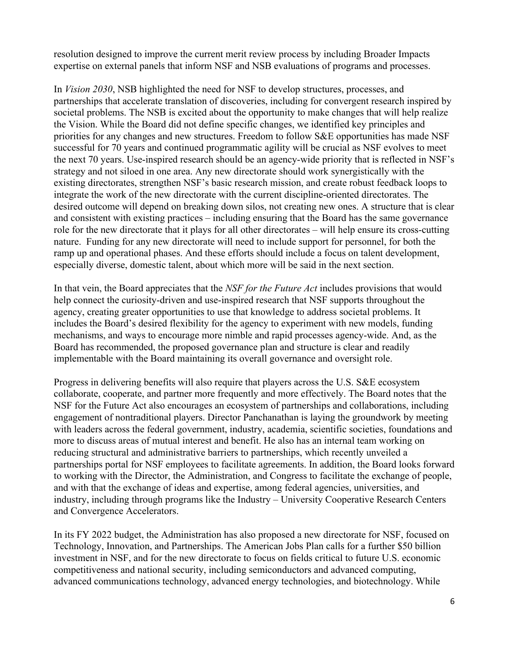resolution designed to improve the current merit review process by including Broader Impacts expertise on external panels that inform NSF and NSB evaluations of programs and processes.

In *Vision 2030*, NSB highlighted the need for NSF to develop structures, processes, and partnerships that accelerate translation of discoveries, including for convergent research inspired by societal problems. The NSB is excited about the opportunity to make changes that will help realize the Vision. While the Board did not define specific changes, we identified key principles and priorities for any changes and new structures. Freedom to follow S&E opportunities has made NSF successful for 70 years and continued programmatic agility will be crucial as NSF evolves to meet the next 70 years. Use-inspired research should be an agency-wide priority that is reflected in NSF's strategy and not siloed in one area. Any new directorate should work synergistically with the existing directorates, strengthen NSF's basic research mission, and create robust feedback loops to integrate the work of the new directorate with the current discipline-oriented directorates. The desired outcome will depend on breaking down silos, not creating new ones. A structure that is clear and consistent with existing practices – including ensuring that the Board has the same governance role for the new directorate that it plays for all other directorates – will help ensure its cross-cutting nature. Funding for any new directorate will need to include support for personnel, for both the ramp up and operational phases. And these efforts should include a focus on talent development, especially diverse, domestic talent, about which more will be said in the next section.

In that vein, the Board appreciates that the *NSF for the Future Act* includes provisions that would help connect the curiosity-driven and use-inspired research that NSF supports throughout the agency, creating greater opportunities to use that knowledge to address societal problems. It includes the Board's desired flexibility for the agency to experiment with new models, funding mechanisms, and ways to encourage more nimble and rapid processes agency-wide. And, as the Board has recommended, the proposed governance plan and structure is clear and readily implementable with the Board maintaining its overall governance and oversight role.

Progress in delivering benefits will also require that players across the U.S. S&E ecosystem collaborate, cooperate, and partner more frequently and more effectively. The Board notes that the NSF for the Future Act also encourages an ecosystem of partnerships and collaborations, including engagement of nontraditional players. Director Panchanathan is laying the groundwork by meeting with leaders across the federal government, industry, academia, scientific societies, foundations and more to discuss areas of mutual interest and benefit. He also has an internal team working on reducing structural and administrative barriers to partnerships, which recently unveiled a partnerships portal for NSF employees to facilitate agreements. In addition, the Board looks forward to working with the Director, the Administration, and Congress to facilitate the exchange of people, and with that the exchange of ideas and expertise, among federal agencies, universities, and industry, including through programs like the Industry – University Cooperative Research Centers and Convergence Accelerators.

In its FY 2022 budget, the Administration has also proposed a new directorate for NSF, focused on Technology, Innovation, and Partnerships. The American Jobs Plan calls for a further \$50 billion investment in NSF, and for the new directorate to focus on fields critical to future U.S. economic competitiveness and national security, including semiconductors and advanced computing, advanced communications technology, advanced energy technologies, and biotechnology. While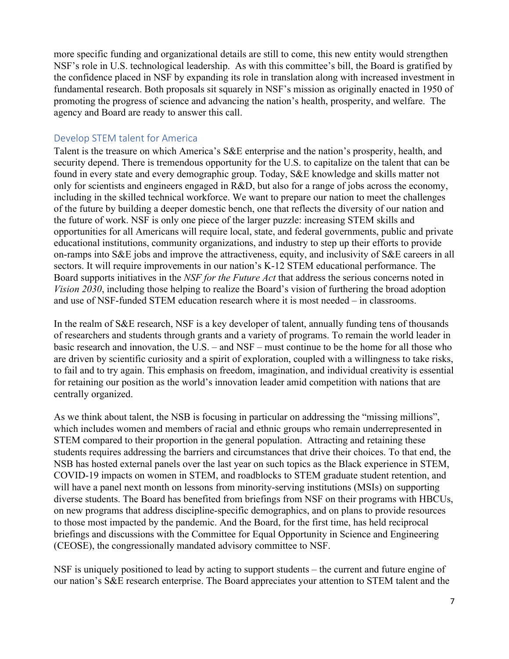more specific funding and organizational details are still to come, this new entity would strengthen NSF's role in U.S. technological leadership. As with this committee's bill, the Board is gratified by the confidence placed in NSF by expanding its role in translation along with increased investment in fundamental research. Both proposals sit squarely in NSF's mission as originally enacted in 1950 of promoting the progress of science and advancing the nation's health, prosperity, and welfare. The agency and Board are ready to answer this call.

#### Develop STEM talent for America

Talent is the treasure on which America's S&E enterprise and the nation's prosperity, health, and security depend. There is tremendous opportunity for the U.S. to capitalize on the talent that can be found in every state and every demographic group. Today, S&E knowledge and skills matter not only for scientists and engineers engaged in R&D, but also for a range of jobs across the economy, including in the skilled technical workforce. We want to prepare our nation to meet the challenges of the future by building a deeper domestic bench, one that reflects the diversity of our nation and the future of work. NSF is only one piece of the larger puzzle: increasing STEM skills and opportunities for all Americans will require local, state, and federal governments, public and private educational institutions, community organizations, and industry to step up their efforts to provide on-ramps into S&E jobs and improve the attractiveness, equity, and inclusivity of S&E careers in all sectors. It will require improvements in our nation's K-12 STEM educational performance. The Board supports initiatives in the *NSF for the Future Act* that address the serious concerns noted in *Vision 2030*, including those helping to realize the Board's vision of furthering the broad adoption and use of NSF-funded STEM education research where it is most needed – in classrooms.

In the realm of S&E research, NSF is a key developer of talent, annually funding tens of thousands of researchers and students through grants and a variety of programs. To remain the world leader in basic research and innovation, the U.S. – and NSF – must continue to be the home for all those who are driven by scientific curiosity and a spirit of exploration, coupled with a willingness to take risks, to fail and to try again. This emphasis on freedom, imagination, and individual creativity is essential for retaining our position as the world's innovation leader amid competition with nations that are centrally organized.

As we think about talent, the NSB is focusing in particular on addressing the "missing millions", which includes women and members of racial and ethnic groups who remain underrepresented in STEM compared to their proportion in the general population. Attracting and retaining these students requires addressing the barriers and circumstances that drive their choices. To that end, the NSB has hosted external panels over the last year on such topics as the Black experience in STEM, COVID-19 impacts on women in STEM, and roadblocks to STEM graduate student retention, and will have a panel next month on lessons from minority-serving institutions (MSIs) on supporting diverse students. The Board has benefited from briefings from NSF on their programs with HBCUs, on new programs that address discipline-specific demographics, and on plans to provide resources to those most impacted by the pandemic. And the Board, for the first time, has held reciprocal briefings and discussions with the Committee for Equal Opportunity in Science and Engineering (CEOSE), the congressionally mandated advisory committee to NSF.

NSF is uniquely positioned to lead by acting to support students – the current and future engine of our nation's S&E research enterprise. The Board appreciates your attention to STEM talent and the